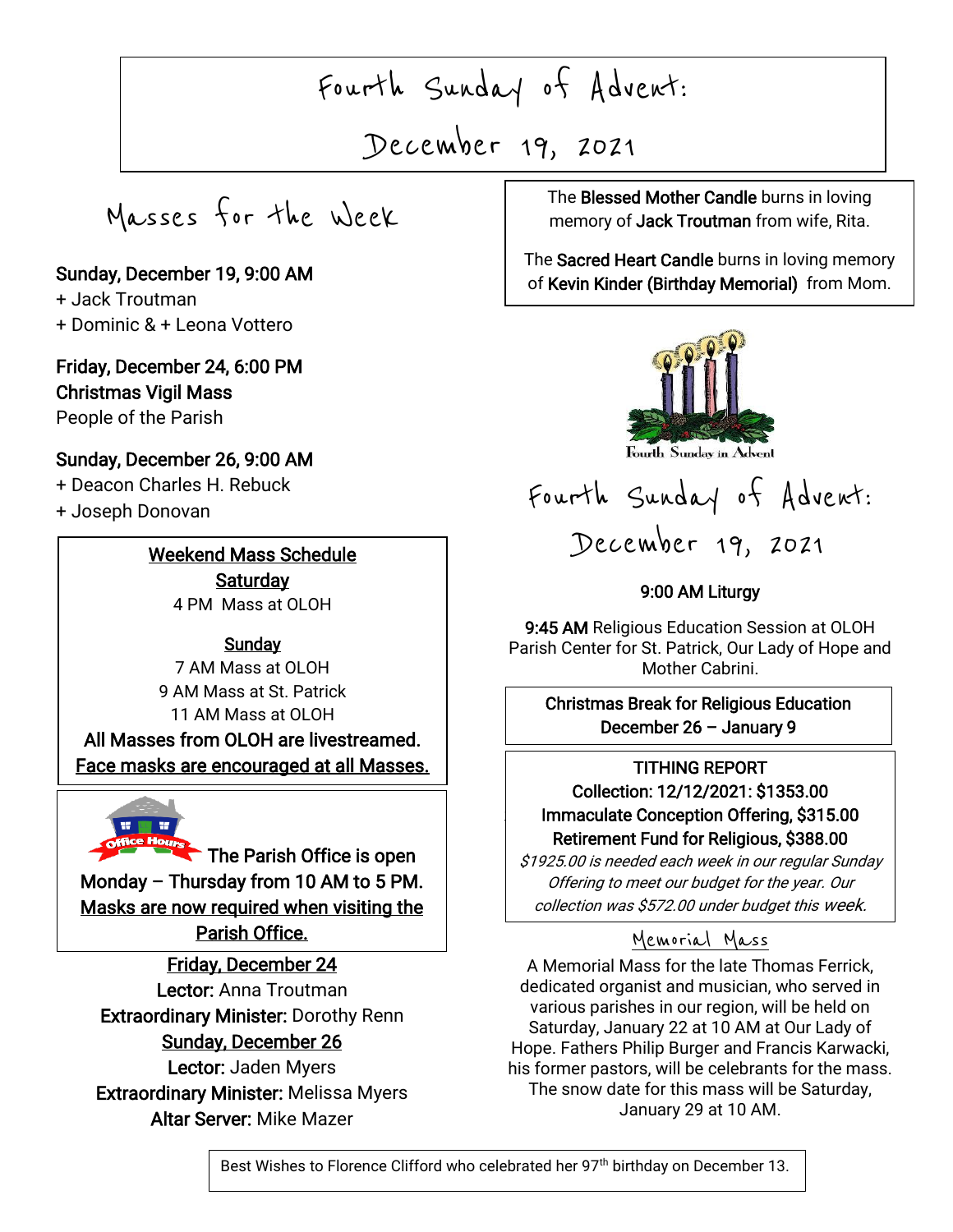Fourth Sunday of Advent:

December 19, 2021

Masses for the Week

Sunday, December 19, 9:00 AM + Jack Troutman + Dominic & + Leona Vottero

### Friday, December 24, 6:00 PM Christmas Vigil Mass

People of the Parish

## Sunday, December 26, 9:00 AM

+ Deacon Charles H. Rebuck

+ Joseph Donovan

I

I

I

I

 $\overline{\phantom{a}}$ 

 $\overline{\phantom{a}}$ 

# Weekend Mass Schedule **Saturday**

4 PM Mass at OLOH

## **Sunday**

7 AM Mass at OLOH 9 AM Mass at St. Patrick 11 AM Mass at OLOH All Masses from OLOH are livestreamed. Face masks are encouraged at all Masses.



The Parish Office is open Monday – Thursday from 10 AM to 5 PM. Masks are now required when visiting the Parish Office.

Friday, December 24 Lector: Anna Troutman Extraordinary Minister: Dorothy Renn Sunday, December 26 Lector: Jaden Myers Extraordinary Minister: Melissa Myers

Altar Server: Mike Mazer

, 2021 The Blessed Mother Candle burns in loving memory of **Jack Troutman** from wife, Rita.

> The Sacred Heart Candle burns in loving memory of Kevin Kinder (Birthday Memorial) from Mom.



Fourth Sunday in Advent

Fourth Sunday of Advent: December 19, 2021

### 9:00 AM Liturgy

9:45 AM Religious Education Session at OLOH Parish Center for St. Patrick, Our Lady of Hope and Mother Cabrini.

 Christmas Break for Religious Education  $\overline{a}$ December 26 – January 9

#### J | Immaculate Conception Offering, \$315.00 TITHING REPORT Collection: 12/12/2021: \$1353.00 Retirement Fund for Religious, \$388.00

\$1925.00 is needed each week in our regular Sunday Offering to meet our budget for the year. Our collection was \$572.00 under budget this week.

# Memorial Mass

A Memorial Mass for the late Thomas Ferrick, dedicated organist and musician, who served in various parishes in our region, will be held on Saturday, January 22 at 10 AM at Our Lady of Hope. Fathers Philip Burger and Francis Karwacki, his former pastors, will be celebrants for the mass. The snow date for this mass will be Saturday, January 29 at 10 AM.

Best Wishes to Florence Clifford who celebrated her 97<sup>th</sup> birthday on December 13.